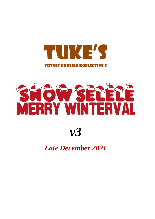



# *v3*

*Late December 2021*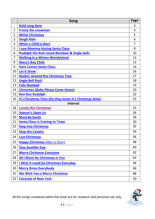|                | <b>Song</b>                                              | Page           |
|----------------|----------------------------------------------------------|----------------|
|                | <b>Auld Lang Syne</b>                                    | 3              |
| $\mathbf{1}$   | <b>Frosty the snowman</b>                                | 4              |
| $\overline{2}$ | <b>White Christmas</b>                                   | 5              |
| 3              | <b>Sleigh Ride</b>                                       | 6              |
| 4              | <b>When a Child is Born</b>                              | $\overline{7}$ |
| 5              | <b>I saw Mommy kissing Santa Claus</b>                   | 8              |
| 6              | <b>Rudolph the Red-nosed Reindeer &amp; Jingle bells</b> | 10             |
| 7              | <b>Walking in a Winter Wonderland</b>                    | 12             |
| 8              | <b>Mary's Boy Child</b>                                  | 13             |
| 9              | <b>Here Comes Santa Claus</b>                            | 14             |
| 10             | <b>Let it Snow</b>                                       | 16             |
| 11             | <b>Rockin' Around the Christmas Tree</b>                 | 17             |
| 12             | <b>Jingle Bell Rock</b>                                  | 18             |
| 13             | <b>Feliz Navidad</b>                                     | 19             |
| 14             | <b>Christmas (Baby Please Come Home)</b>                 | 20             |
| 15             | <b>Run Run Rudolph</b>                                   | 22             |
| 16             | It's Christmas Time (Do they know it's Christmas time)   | 23             |
|                | <b>Interval</b>                                          |                |
| 18             | <b>Lonely this Christmas</b>                             | 25             |
| 19             | <b>Season's Upon Us</b>                                  | 26             |
| 20             | <b>Must be Santa</b>                                     | 28             |
| 21             | <b>Santa Claus is Coming to Town</b>                     | 30             |
| 22             | <b>Step into Christmas</b>                               | 32             |
| 23             | <b>Stop the Cavalry</b>                                  | 34             |
| 24             | <b>Last Christmas</b>                                    | 36             |
| 25             | <b>Happy Christmas (War is Over)</b>                     | 38             |
| 26             | <b>Stay Another Day</b>                                  | 40             |
| 27             | <b>Merry Christmas Everyone</b>                          | 42             |
| 28             | <b>All I Want for Christmas is You</b>                   | 43             |
| 29             | I Wish it could be Christmas Everyday                    | 44             |
| 30             | <b>Merry Xmas Everybody</b>                              | 46             |
| 31             | <b>We Wish You a Merry Christmas</b>                     | 48             |
| 32             | <b>Fairytale of New York</b>                             | 50             |

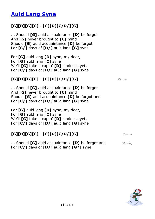## <span id="page-2-0"></span>**[Auld Lang Syne](https://youtu.be/j1fN3rYesA0)**

#### **[G][D][G][C]** - **[G][D][C/D/][G]**

. . Should **[G]** auld acquaintance **[D]** be forgot And **[G]** never brought to **[C]** mind Should **[G]** auld acquaintance **[D]** be forgot For **[C/]** days of **[D/]** auld lang **[G]** syne

For **[G]** auld lang **[D]** syne, my dear, For **[G]** auld lang **[C]** syne We'll **[G]** take a cup o' **[D]** kindness yet, For **[C/]** days of **[D/]** auld lang **[G]** syne

#### **[G][D][G][C]** - **[G][D][C/D/][G]** *Kazoos*

. . Should **[G]** auld acquaintance **[D]** be forgot And **[G]** never brought to **[C]** mind Should **[G]** auld acquaintance **[D]** be forgot and For **[C/]** days of **[D/]** auld lang **[G]** syne

For **[G]** auld lang **[D]** syne, my dear, For **[G]** auld lang **[C]** syne We'll **[G]** take a cup o' **[D]** kindness yet, For **[C/]** days of **[D/]** auld lang **[G]** syne

#### **[G][D][G][C]** - **[G][D][C/D/][G]** *Kazoos*

. . Should **[G]** auld acquaintance **[D]** be forgot and *Slowing* For **[C/]** days of **[D/]** auld lang **[G\*]** syne

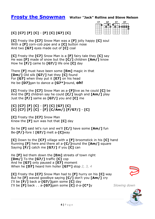<span id="page-3-0"></span>**[Frosty the Snowman](https://youtu.be/PQ-ULzAAb20)** Walter "Jack" Rollins and Steve Nelson



#### **[C] [C7] [F] [C]** - **[F] [C] [G7] [C]**

**[C]** Frosty the **[C7]** Snow Man was a **[F]** jolly happy **[C]** soul With a **[F]** corn-cob pipe and a **[C]** button nose And two **[G7]** eyes made out of **[C]** coal

**[C]** Frosty the **[C7]** Snow Man is a **[F]** fairy tale they **[C]** say He was **[F]** made of snow but the **[C/]** children **[Am/]** know How he **[F/]** came to **[G7/]** life one **[C]** day

There **[F]** must have been some **[Em]** magic in that **[Dm/]** Old silk **[G7/]** hat they **[C]** found For **[G7]** when they put it **[E7]** on his head He be-**[D7]**gan to dance a-**[G7\*]**round, **oh!**

**[C]** Frosty the **[C7]** Snow Man as a-**[F]**live as he could **[C]** be And the **[F]** children say he could **[C/]** laugh and **[Am/]** play Just the **[F/]** same as **[G7/]** you and **[C]** me

#### **[C] [C7] [F] [C]** - **[F] [C] [G7] [C] [C] [C7] [F] [C]** - **[F] [C/Am/] [F/G7/]** - **[C]**

**[C]** Frosty the **[C7]** Snow Man Knew the **[F]** sun was hot that **[C]** day

So he **[F]** said let's run and we'll **[C/]** have some **[Am/]** fun Be-**[F/]**-fore I **[G7/]** melt a-**[C]**way

**[C]** Down to the **[C7]** village with a **[F]** broomstick in his **[C]** hand Running **[F]** here and there all a-**[C/]**round the **[Am/]** square Saying **[F/]** catch me **[G7/]** if you **[C]** can

He **[F]** led them down the **[Em]** streets of town right **[Dm/]** To the **[G7/]** traffic **[C]** cop And he **[G7]** only paused a **[E7]** moment When he **[D7]** heard him holler **[G7\*]** stop *2, 3, 4*

**[C]** Frosty the **[C7]** Snow Man had to **[F]** hurry on his **[C]** way But he **[F]** waved goodbye saying **[C/]** don't you **[Am/]** cry I'll be **[F/]** back a-**[G7/]**gain some **[C]** day I'll be **[F]** back . . a-**[G7]**gain some **[C]** d-a-**[C\*]**y*Slowing down*



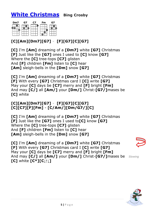## <span id="page-4-0"></span>**[White Christmas](https://youtu.be/v5ryZdpEHqM)** Bing Crosby

| Dm7 | G7 | C7 | Fm | G7 |
|-----|----|----|----|----|
|     |    |    |    |    |
|     |    |    |    |    |

## **[C][Am][Dm7][G7]** *-* **[F][G7][C][G7]**

**[C]** I'm **[Am]** dreaming of a **[Dm7]** white **[G7]** Christmas **[F]** Just like the **[G7]** ones I used to **[C]** know **[G7]** Where the **[C]** tree-tops **[C7]** glisten And **[F]** children **[Fm]** listen to **[C]** hear **[Am]** sleigh-bells in the **[Dm]** snow **[G7]**

**[C]** I'm **[Am]** dreaming of a **[Dm7]** white **[G7]** Christmas **[F]** With every **[G7]** Christmas card I **[C]** write **[G7]** May your **[C]** days be **[C7]** merry and **[F]** bright **[Fm]** And may **[C/]** all **[Am/]** your **[Dm/]** Christ-**[G7/]**mases be **[C]** white

#### **[C][Am][Dm7][G7]** *-* **[F][G7][C][G7] [C][C7][F][Fm]** - **[C/Am/][Dm/G7/][C]**

**[C]** I'm **[Am]** dreaming of a **[Dm7]** white **[G7]** Christmas **[F]** Just like the **[G7]** ones I used to**[C]** know **[G7]** Where the **[C]** tree-tops **[C7]** glisten And **[F]** children **[Fm]** listen to **[C]** hear **[Am]** sleigh-bells in the **[Dm]** snow **[G7]**

**[C]** I'm **[Am]** dreaming of a **[Dm7]** white **[G7]** Christmas **[F]** With every **[G7]** Christmas card I **[C]** write **[G7]** May your **[C]** days be **[C7]** merry and **[F]** bright **[Fm]** And may **[C/]** all **[Am/]** your **[Dm/]** Christ-**[G7/]**mases be *Slowing* **[C]** white **[C\*][C↓↑↓]**

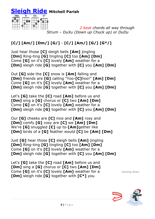<span id="page-5-0"></span>**[Sleigh Ride](https://youtu.be/LvDZupL275k) Mitchell Parish** 



*2 beat chords all way through Strum – DuXu (Down up Chuck up) or DuDu*

## **[C/] [Am/] [Dm/] [G/]** - **[C/] [Am/] [G/] [G\*/]**

Just hear those **[C]** sleigh bells **[Am]** jingling **[Dm]** Ring-ting **[G]** tingling **[C]** too **[Am] [Dm]** Come **[G]** on it's **[C]** lovely **[Am]** weather for a **[Dm]** sleigh ride **[G]** together with **[C]** you **[Am] [Dm]**

Out **[G]** side the **[C]** snow is **[Am]** falling and **[Dm]** friends are **[G]** calling "Yoo-**[C]**hoo!" **[Am] [Dm]** Come **[G]** on it's **[C]** lovely **[Am]** weather for a **[Dm]** sleigh ride **[G]** together with **[C]** you **[Am] [Dm]**

Let's **[G]** take the **[C]** road **[Am]** before us and **[Dm]** sing a **[G]** chorus or **[C]** two **[Am] [Dm]** Come **[G]** on it's **[C]** lovely **[Am]** weather for a **[Dm]** sleigh ride **[G]** together with **[C]** you **[Am] [Dm]**

Our **[G]** cheeks are **[C]** nice and **[Am]** rosy and **[Dm]** comfy **[G]** cosy are **[C]** we **[Am] [Dm]** We're **[G]** snuggled **[C]** up to-**[Am]**gether like **[Dm]** birds of a **[G]** feather would **[C]** be **[Am] [Dm]**

Just **[G]** hear those **[C]** sleigh bells **[Am]** jingling **[Dm]** Ring-ting **[G]** tingling **[C]** too **[Am] [Dm]** Come **[G]** on it's **[C]** lovely **[Am]** weather for a **[Dm]** sleigh ride **[G]** together with **[C]** you **[Am] [Dm]**

Let's **[G]** take the **[C]** road **[Am]** before us and **[Dm]** sing a **[G]** chorus or **[C]** two **[Am] [Dm]** Come **[G]** on it's **[C]** lovely **[Am]** weather for a *slowing down* **[Dm]** sleigh ride **[G]** together with **[C\*]** you

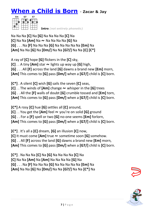## <span id="page-6-0"></span>**[When a Child is Born](https://youtu.be/8snGaDMmtf4)** - **Zacar & Jay**



 **Intro** *(not entirely phonetic)*

Na Na Na **[C]** Na **[G]** Na Na Na Na **[C]** Na **[C]** Na Na **[Am]** Na **~** Na Na Na Na **[G]** Na **[G]** . . . Na **[F]** Na Na Na **[G]** Na Na Na Na Na **[Em]** Na **[Am]** Na Na **[G]** Na **[Dm/]** Na Na **[G7/]** Na Na **[C] [C\*]**

A ray of **[C]** hope **[G]** flickers in the **[C]** sky, **[C]** . . A tiny **[Am]** star **~** lights up way up **[G]** high, **[G]** . . . All **[F]** across the land **[G]** dawns a brand new **[Em]** morn, **[Am]** This comes to **[G]** pass **[Dm/]** when a **[G7/]** child is **[C]** born.

**[C\*]** . A silent **[C]** wish **[G]** sails the seven **[C]** seas, **[C]** . . The winds of **[Am]** change **~** whisper in the **[G]** trees **[G]** . . All the **[F]** walls of doubt **[G]** crumble tossed and **[Em]** torn, **[Am]** This comes to **[G]** pass **[Dm/]** when a **[G7/]** child is **[C]** born.

**[C\*]** A rosy **[C]** hue **[G]** settles all **[C]** around, **[C]** . . You get the **[Am]** feel **~** you're on solid **[G]** ground **[G]** . . For a **[F]** spell or two **[G]** no-one seems **[Em]** forlorn, **[Am]** This comes to **[G]** pass **[Dm/]** when a **[G7/]** child is **[C]** born.

**[C\*]** . It's all a **[C]** dream, **[G]** an illusion **[C]** now, **[C]** It must come **[Am]** true **~** sometime soon **[G]** somehow. **[G]** . . All **[F]** across the land **[G]** dawns a brand new **[Em]** morn, **[Am]** This comes to **[G]** pass **[Dm/]** when a **[G7/]** child is **[C]** born.

**[C\*]** . Na Na Na **[C]** Na **[G]** Na Na Na Na **[C]** Na **[C]** Na Na **[Am]** Na **[Am]** Na Na Na Na **[G]** Na **[G]** . . . Na **[F]** Na Na Na **[G]** Na Na Na Na Na **[Em]** Na **[Am]** Na Na **[G]** Na **[Dm/]** Na Na **[G7/]** Na Na **[C\*]** Na



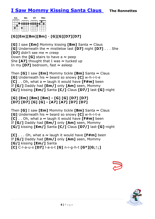<span id="page-7-0"></span>**[I Saw Mommy Kissing Santa Claus](https://youtu.be/g4vktLutpiY) The Ronnettes**

| Em | <b>Bm</b> | D7 | F#m |
|----|-----------|----|-----|
|    |           |    |     |
|    |           |    |     |
|    |           |    |     |

#### **[G][Em][Bm][Bm]** - **[G][G][D7][D7]**

**[G]** I saw **[Em]** Mommy kissing **[Bm]** Santa **~** Claus **[G]** Underneath the **~** mistletoe last **[D7]** night **[D7]** . . . She **[D7]** didn't see me **~** creep Down the **[G]** stairs to have a **~** peep She **[A7]** thought that I was **~** tucked up In my **[D7]** bedroom, fast **~** asleep

Then **[G]** I saw **[Em]** Mommy tickle **[Bm]** Santa **~** Claus **[G]** Underneath his **~** beard so snowy **[C]** w-h-i-t-e **[C]** . . Oh, what a **~** laugh it would have **[F#m]** been If **[G/]** Daddy had **[Em/]** only **[Am]** seen, Mommy **[G/]** kissing **[Em/]** Santa **[C/]** Claus **[D7/]** last-**[G]**-night

#### **[G] [Em] [Bm] [Bm] - [G] [G] [D7] [D7] [D7] [D7] [G] [G] - [A7] [A7] [D7] [D7]**

Then **[G]** I saw **[Em]** Mommy tickle **[Bm]** Santa **~** Claus **[G]** Underneath his **~** beard so snowy **[C]** w-h-i-t-e **[C]** . . Oh, what a **~** laugh it would have **[F#m]** been If **[G/]** Daddy had **[Em/]** only **[Am]** seen, Mommy **[G/]** kissing **[Em/]** Santa **[C/]** Claus **[D7/]** last-**[G]**-night

**[C]** . . . Oh, what a **~** laugh it would have **[F#m]** been If **[G/]** Daddy had **[Em/]** only **[Am]** seen, Mommy **[G/]** kissing **[Em/]** Santa **[C]** C-l-a-u-s **[D7]** l-a-s-t **[G]** n-i-g-h-t **[G\*][G↓↑↓]**



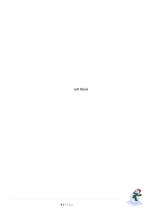Left Blank

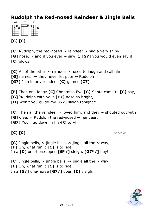## <span id="page-9-0"></span>**Rudolph the Red-nosed Reindeer & Jingle Bells**

| G7 | C7 | E7 |
|----|----|----|
|    |    |    |
|    |    |    |
|    |    |    |
|    |    |    |
|    |    |    |

## **[C] [C]**

- **[C]** Rudolph, the red-nosed **~** reindeer **~** had a very shiny
- **[G]** nose, **~** and if you ever **~** saw it, **[G7]** you would even say it
- **[C]** glows.

**[C]** All of the other **~** reindeer **~** used to laugh and call him

- **[G]** names, **~** they never let poor **~** Rudolph
- **[G7]** Join in any reindeer **[C]** games **[C7]**
- **[F]** Then one foggy **[C]** Christmas Eve **[G]** Santa came to **[C]** say,
- **[G]** "Rudolph with your **[E7]** nose so bright,
- **[D]** Won't you guide my **[G7]** sleigh tonight?"
- **[C]** Then all the reindeer **~** loved him, and they **~** shouted out with **[G]** glee, **~** Rudolph the red-nosed **~** reindeer,
- **[G7]** You'll go down in his-**[C]**tory!

## **[C] [C]** *Speed up*

**[C]** Jingle bells, **~** jingle bells, **~** jingle all the **~** way, **[F]** Oh, what fun it **[C]** is to ride In a **[D]** one-horse open **[G\*/]** sleigh, **[G7\*/]** hey!

**[C]** Jingle bells, **~** jingle bells, **~** jingle all the **~** way, **[F]** Oh, what fun it **[C]** is to ride In a **[G/]** one-horse **[G7/]** open **[C]** sleigh.

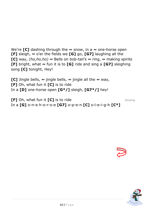We're **[C]** dashing through the **~** snow, in a **~** one-horse open **[F]** sleigh, **~** o'er the fields we **[G]** go, **[G7]** laughing all the **[C]** way, *(ho,ho,ho)* **~** Bells on bob-tail's **~** ring, **~** making spirits **[F]** bright, what **~** fun it is to **[G]** ride and sing a **[G7]** sleighing song **[C]** tonight, Hey!

**[C]** Jingle bells, **~** jingle bells, **~** jingle all the **~** way, **[F]** Oh, what fun it **[C]** is to ride In a **[D]** one-horse open **[G\*/]** sleigh, **[G7\*/]** hey!

**[F]** Oh, what fun it **[C]** is to ride *Slowing* In a **[G]** o-n-e h-o-r-s-e **[G7]** o-p-e-n **[C]** s-l-e-i-g-h **[C\*]**



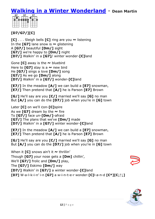## <span id="page-11-0"></span>**[Walking in a Winter Wonderland](https://youtu.be/u92-2zNc4KQ)** - **Dean Martin**

| G7 | D7 | E7 |
|----|----|----|
|    |    |    |

#### **[D7/G7/][C]**

**[C]** . . . Sleigh bells **[C]** ring are you **~** listening In the **[G7]** lane snow is **~** glistening A **[G7/]** beautiful **[Dm/]** sight **[G7/]** we're happy to **[Dm/]** night **[D7/]** Walkin' in a **[G7]**/ winter wonder-**[C]**land

Gone **[C]** away is the **~** bluebird Here to **[G7]** stay is a **~** new bird He **[G7/]** sings a love **[Dm/]** song **[G7/]** As we go **[Dm/]** along **[D7/]** Walkin' in a **[G7/]** wonder-**[C]**land

**[E7/]** In the meadow **[A/]** we can build a **[E7]** snowman, **[E7/]** Then pretend that **[A/]** he is Parson **[E7]** Brown

**[G/]** He'll say are you **[C/]** married we'll say **[G]** no man But **[A/]** you can do the **[D7/]** job when you're in **[G]** town

Later **[C]** on we'll con-**[C]**spire As we **[G7]** dream by the **~** fire To **[G7/]** face un-**[Dm/]**-afraid **[G7/]** The plans that we've **[Dm/]** made **[D7/]** Walkin' in a **[G7/]** winter wonder-**[C]**land

**[E7/]** In the meadow **[A/]** we can build a **[E7]** snowman, **[E7/]** Then pretend that **[A/]** he is Parson **[E7]** Brown

**[G/]** He'll say are you **[C/]** married we'll say **[G]** no man But **[A/]** you can do the **[D7/]** job when you're in **[G]** town

When it **[C]** snows ain't it  $\sim$  thrillin' Though **[G7]** your nose gets a **[Dm]** chillin', We'll **[G7/]** frolic and **[Dm/]** play, The **[G7/]** Eskimo **[Dm/]** way **[D7/]** Walkin' in **[G7/]** a winter wonder-**[C]**land **[D7]** W-a-l-k-i-n' i-n **[G7]** a w-i-n-t-e-r wonder-**[C]**l-a-n-d **[C\*][C↓↑↓]**

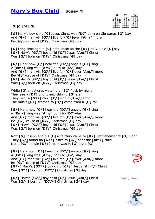## <span id="page-12-0"></span>**[Mary's Boy Child](https://youtu.be/FHTCldo7uw4)** - **Boney M**



**[G] [C] [D7] [G]** 

**[G]** Mary's boy child **[C]** Jesus Christ was **[D7]** born on Christmas **[G]** Day And **[G/]** man will **[G7/]** live for-**[C/]**ever **[Am/]** more Be-**[G/]**-cause of **[D7/]** Christmas **[G]** day

**[G]** Long time ago in **[C]** Bethlehem so the **[D7]** Holy Bible **[G]** say **[G/]** Mary's **[G7/]** boy child **[C/]** Jesus **[Am/]** Christ Was **[G/]** born on **[D7/]** Christmas **[G]** day

**[G/]** Hark now **[C/]** hear the **[D7/]** angels **[G/]** sing A **[Em/]** king was **[Am/]** born to-**[D7]**-day And **[G/]** man will **[G7/]** live for-**[C/]**-ever **[Am/]** more Be-**[G/]**-cause of **[D7/]** Christmas **[G]** day **[G/]** Mary's **[G7/]** boy child **[C/]** Jesus **[Am/]** Christ Was **[G/]** born on **[D7/]** Christmas **[G]** day

While **[G]** shepherds watch their **[C]** flock by night They see a **[D7]** bright new shining **[G]** star They hear a **[G7/]** choir **[C/]** sing a **[Am/]** song The music **[G/]** seemed to **[D/]** come from a-**[G]**-far

**[G/]** Hark now **[C/]** hear the **[D7/]** angels **[G/]** sing A **[Em/]** king was **[Am/]** born to-**[D7]**-day And **[G/]** man will **[G7/]** live for-**[C/]**-ever **[Am/]** more Be-**[G/]**-cause of **[D7/]** Christmas **[G]** day **[G/]** Mary's **[G7/]** boy child **[C/]** Jesus **[Am/]** Christ Was **[G/]** born on **[D7/]** Christmas **[G]** day

Now **[G]** Joseph and his **[C]** wife Mary came to **[D7]** Bethlehem that **[G]** night They **[G/]** found no **[G7/]** place to **[C/]** bear the **[Am/]** child Not a **[G/]** single **[D7/]** room was in **[G]** sight **[G]**

**[G/]** Hark now **[C/]** hear the **[D7/]** angels **[G/]** sing A **[Em/]** king was **[Am/]** born to-**[D7]**-day And **[G/]** man will **[G7/]** live for-**[C/]**-ever **[Am/]** more Be-**[G/]**-cause of **[D7/]** Christmas **[G]** day **[G\*/]** Mary's **[G7\*/]** boy child **[C\*/]** Jesus **[Am\*/]** Christ Was **[G\*/]** born on **[D7\*/]** Christmas **[G]** day

**[G/]** Mary's **[G7/]** boy child **[C/]** Jesus **[Am/]** Christ *Getting slower* Was **[G/\*]** born on **[D7/\*]** Christmas **[G\*]** day



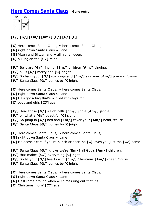## <span id="page-13-0"></span>**[Here Comes Santa Claus](https://youtu.be/JhcLpwlA-ZA) Gene Autry**

| C7 | Em |
|----|----|
|    |    |
|    |    |
|    |    |

#### **[F/] [G/] [Em/] [Am/] [F/] [G/] [C]**

**[C]** Here comes Santa Claus, **~** here comes Santa Claus,

- **[G]** right down Santa Claus **~** Lane
- **[G]** Vixen and Blitzen and **~** all his reindeers
- **[C]** pulling on the **[C7]** reins

**[F/]** Bells are **[G/]** ringing, **[Em/]** children **[Am/]** singing,

**[F/]** all is **[G/]** merry and **[C]** bright

**[F/]** So hang your **[G/]** stockings and **[Em/]** say your **[Am/]** prayers, 'cause

**[F/]** Santa Claus **[G/]** comes to-**[C]**night

**[C]** Here comes Santa Claus, **~** here comes Santa Claus,

- **[G]** right down Santa Claus **~** Lane
- **[G]** He's got a bag that's **~** filled with toys for

**[C]** boys and girls **[C7]** again

**[F/]** Hear those **[G/]** sleigh bells **[Em/]** jingle **[Am/]** jangle,

**[F/]** oh what a **[G/]** beautiful **[C]** sight

**[F/]** So jump in **[G/]** bed and **[Em/]** cover your **[Am/]** head, 'cause

**[F/]** Santa Claus **[G/]** comes to-**[C]**night

**[C]** Here comes Santa Claus, **~** here comes Santa Claus,

**[G]** right down Santa Claus **~** Lane

**[G]** He doesn't care if you're **~** rich or poor, he **[C]** loves you just the **[C7]** same

**[F/]** Santa Claus **[G/]** knows we're **[Em/]** all God's **[Am/]** children,

**[F/]** that makes **[G/]** everything **[C]** right

- **[F/]** So fill your **[G/]** hearts with **[Em/]** Christmas **[Am/]** cheer, 'cause
- **[F/]** Santa Claus **[G/]** comes to-**[C]**night

**[C]** Here comes Santa Claus, **~** here comes Santa Claus,

**[G]** right down Santa Claus **~** Lane

- **[G]** He'll come around when **~** chimes ring out that it's
- **[C]** Christmas morn' **[C7]** again

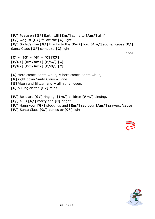**[F/]** Peace on **[G/]** Earth will **[Em/]** come to **[Am/]** all if **[F/]** we just **[G/]** follow the **[C]** light **[F/]** So let's give **[G/]** thanks to the **[Em/]** lord **[Am/]** above, 'cause **[F/]** Santa Claus **[G/]** comes to-**[C]**night

*Kazoo*

#### **[C] ~ [G] ~ [G] ~ [C] [C7] [F/G/] [Em/Am/] [F/G/] [C] [F/G/] [Em/Am/] [F/G/] [C]**

**[C]** Here comes Santa Claus, **~** here comes Santa Claus,

**[G]** right down Santa Claus **~** Lane

**[G]** Vixen and Blitzen and **~** all his reindeers

**[C]** pulling on the **[C7]** reins

**[F/]** Bells are **[G/]** ringing, **[Em/]** children **[Am/]** singing,

**[F/]** all is **[G/]** merry and **[C]** bright

**[F/]** Hang your **[G/]** stockings and **[Em/]** say your **[Am/]** prayers, 'cause

**[F/]** Santa Claus **[G/]** comes to**-[C\*]**night.



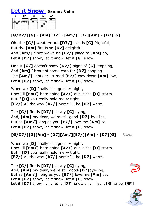## <span id="page-15-0"></span>**[Let it Snow](https://youtu.be/mN7LW0Y00kE) Sammy Cahn**



## **[G/D7/][G]** - **[Am][D7]** - **[Am/][E7/][Am] - [D7][G]**

Oh, the **[G/]** weather out **[D7/]** side is **[G]** frightful, But the **[Am]** fire is so **[D7]** delightful, And **[Am/]** since we've no **[E7/]** place to **[Am]** go, Let it **[D7]** snow, let it snow, let it **[G]** snow.

Man it **[G/]** doesn't show **[D7/]** signs of **[G]** stopping, And **[Am]** I brought some corn for **[D7]** popping. The **[Am/]** lights are turned **[E7/]** way down **[Am]** low, Let it **[D7]** snow, let it snow, let it **[G]** snow.

When we **[D]** finally kiss good **~** night, How I'll **[Em/]** hate going **[A7/]** out in the **[D]** storm. But if **[D]** you really hold me **~** tight, **[E7/]** All the way **[A7/]** home I'll be **[D7]** warm.

The **[G/]** fire is **[D7/]** slowly **[G]** dying, And, **[Am]** my dear, we're still good-**[D7]**-bye-ing, But as **[Am/]** long as you **[E7/]** love me **[Am]** so. Let it **[D7]** snow, let it snow, let it **[G]** snow.

### **[G/D7/][G][Am] - [D7][Am/][E7/][Am] - [D7][G]** *Kazoo*

When we **[D]** finally kiss good **~** night, How I'll **[Em/]** hate going **[A7/]** out in the **[D]** storm. But if **[D]** you really hold me **~** tight, **[E7/]** All the way **[A7/]** home I'll be **[D7]** warm.

The **[G/]** fire is **[D7/]** slowly **[G]** dying, And, **[Am]** my dear, we're still good-**[D7]**bye-ing, But as **[Am/]** long as you **[E7/]** love me **[Am]** so. Let it **[D7]** snow, let it snow, let it **[G]** snow. Let it **[D7]** snow . . . . let it **[D7]** snow . . . . let it **[G]** snow **[G\*]**

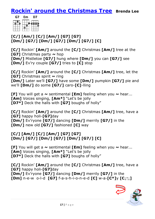## <span id="page-16-0"></span>**[Rockin' around the Christmas Tree](https://youtu.be/is4NQkUN3AI) Brenda Lee**

| G7 | Em | D7 |
|----|----|----|
|    |    |    |

#### **[C/] [Am/] [C/] [Am/] [G7] [G7] [Dm/] [G7/] [Dm/] [G7/] [Dm/] [G7/] [C]**

**[C/]** Rockin' **[Am/]** around the **[C/]** Christmas **[Am/]** tree at the **[G7]** Christmas party **~** hop **[Dm/]** Mistletoe **[G7/]** hung where **[Dm/]** you can **[G7/]** see **[Dm/]** Ev'ry couple **[G7/]** tries to **[C]** stop

**[C/]** Rockin' **[Am/]** around the **[C/]** Christmas **[Am/]** tree, let the **[G7]** Christmas spirit **~** ring **[Dm/]** Later we'll **[G7/]** have some **[Dm/]** pumpkin **[G7/]** pie and we'll **[Dm/]** do some **[G7/]** caro-**[C]**-lling

**[F]** You will get a **~** sentimental **[Em]** feeling when you **~** hear... **[Am]** Voices singing, **[Am\*]** "Let's be jolly **[D7\*]** Deck the halls with **[G7]** boughs of holly"

**[C/]** Rockin' **[Am/]** around the **[C/]** Christmas **[Am/]** tree, have a **[G7]** happy holi-**[G7]**day **[Dm/]** Ev'ryone **[G7/]** dancing **[Dm/]** merrily **[G7/]** in the **[Dm/]** new old **[G7/]** fashioned **[C]** way

#### **[C/] [Am/] [C/] [Am/] [G7] [G7] [Dm/] [G7/] [Dm/] [G7/] [Dm/] [G7/] [C]**

**[F]** You will get a **~** sentimental **[Em]** feeling when you **~** hear... **[Am]** Voices singing, **[Am\*]** "Let's be jolly **[D7\*]** Deck the halls with **[G7]** boughs of holly"

**[C/]** Rockin' **[Am/]** around the **[C/]** Christmas **[Am/]** tree, have a **[G7]** happy holi-**[G7]**day **[Dm/]** Ev'ryone **[G7/]** dancing **[Dm/]** merrily **[G7/]** in the **[Dm]** n-e-w o-l-d **[G7]** f-a-s-h-i-o-n-e-d **[C]** w-a-**[C\*]**y **[C↓↑↓]**

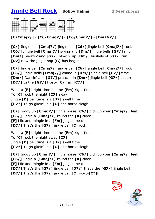## <span id="page-17-0"></span>**[Jingle Bell Rock](https://youtu.be/Z0ajuTaHBtM) Bobby Helms** *2 beat chords*

| CMaj7 | C6 | Fm | D7 | G7 | G+ | C7 |
|-------|----|----|----|----|----|----|
|       |    |    |    |    |    |    |
|       |    |    |    |    |    |    |
|       |    |    |    |    |    |    |

#### **[C/Cmaj7/]** - **[C6/Cmaj7/]** - **[C6/Cmaj7/]** - **[Dm/G7/]**

**[C/]** Jingle bell **[Cmaj7/]** jingle bell **[C6/]** jingle bell **[Cmaj7/]** rock **[C6/]** Jingle bell **[Cmaj7/]** swing and **[Dm/]** jingle bells **[G7/]** ring **[Dm/]** Snowin' and **[G7/]** blowin' up **[Dm/]** bushels of **[G7/]** fun **[D7]** Now the jingle hop **[G]** has begun

**[C/]** Jingle bell **[Cmaj7/]** jingle bell **[C6/]** jingle bell **[Cmaj7/]** rock **[C6/]** Jingle bells **[Cmaj7/]** chime in **[Dm/]** jingle bell **[G7/]** time **[Dm/]** Dancin' and **[G7/]** prancin' in **[Dm/]** jingle bell **[G7/]** square **[D7/]** In the **[G7/]** frosty **[C/]** air **[C7/]**

What a **[F]** bright time it's the **[Fm]** right time To **[C]** rock the night **[C7]** away Jingle **[D]** bell time is a **[D7]** swell time **[G7\*]** To go glidin' in a **[G]** one horse sleigh

**[C/]** Giddy up **[Cmaj7/]** jingle horse **[C6/]** pick up your **[Cmaj7/]** feet **[C6/]** Jingle a-**[Cmaj7/]**-round the **[A]** clock **[F]** Mix and mingle in a **[Fm]** jinglin' beat **[D7/]** That's the **[G7/]** jingle bell **[C]** rock

What a **[F]** bright time it's the **[Fm]** right time To **[C]** rock the night away **[C7]** Jingle **[D]** bell time is a **[D7]** swell time **[G7\*]** To go glidin' in a **[G]** one horse sleigh

**[C/]** Giddy up **[Cmaj7/]** jingle horse **[C6/]** pick up your **[Cmaj7/]** feet **[C6/]** Jingle a-**[Cmaj7/]**-round the **[A]** clock **[F]** Mix and mingle in a **[Fm]** jinglin' beat **[D7/]** That's the **[G7/]** jingle bell **[D7/]** that's the **[G7/]** jingle bell **[D7/]** That's the **[G7/]** jingle bell **[C]** r-o-c-**[C\*]**k

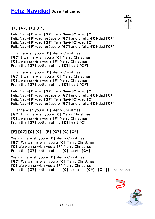## <span id="page-18-0"></span>**[Feliz Navidad](https://youtu.be/N8NcQzMQN_U) Jose Feliciano**

### **[F] [G7] [C] [C\*]**

Feliz Navi-**[F]**-dad **[G7]** Feliz Navi-**[C]**-dad **[C]** Feliz Navi-**[F]**-dad, próspero **[G7]** ano y felici-**[C]**-dad **[C\*]** Feliz Navi-**[F]**-dad **[G7]** Feliz Navi-**[C]**-dad **[C]** Feliz Navi-**[F]**-dad, próspero **[G7]** ano y felici-**[C]**-dad **[C\*]**

I wanna wish you a **[F]** Merry Christmas **[G7]** I wanna wish you a **[C]** Merry Christmas **[C]** I wanna wish you a **[F]** Merry Christmas From the **[G7]** bottom of my **[C]** heart **[C\*]**

I wanna wish you a **[F]** Merry Christmas **[G7]** I wanna wish you a **[C]** Merry Christmas **[C]** I wanna wish you a **[F]** Merry Christmas From the **[G7]** bottom of my **[C]** heart **[C\*]**

Feliz Navi-**[F]**-dad **[G7]** Feliz Navi-**[C]**-dad **[C]** Feliz Navi-**[F]**-dad, próspero **[G7]** ano y felici-**[C]**-dad **[C\*]** Feliz Navi-**[F]**-dad **[G7]** Feliz Navi-**[C]**-dad **[C]** Feliz Navi-**[F]**-dad, próspero **[G7]** ano y felici-**[C]**-dad **[C\*]**

I wanna wish you a **[F]** Merry Christmas **[G7]** I wanna wish you a **[C]** Merry Christmas **[C]** I wanna wish you a **[F]** Merry Christmas From the **[G7]** bottom of my **[C]** heart **[C]**

### **[F] [G7] [C] [C]** - **[F] [G7] [C] [C\*]**

We wanna wish you a **[F]** Merry Christmas **[G7]** We wanna wish you a **[C]** Merry Christmas **[C]** We wanna wish you a **[F]** Merry Christmas From the **[G7]** bottom of our **[C]** hearts **[C\*]**

We wanna wish you a **[F]** Merry Christmas **[G7]** We wanna wish you a **[C]** Merry Christmas **[C]** We wanna wish you a **[F]** Merry Christmas From the **[G7]** bottom of our **[C]** h-e-a-r-t-**[C\*]**s **[C↓↑↓]** *(Cha Cha Cha)*

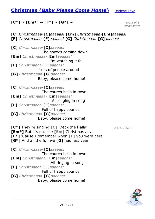## <span id="page-19-0"></span>**Christmas (***[Baby Please Come Home](https://youtu.be/nCMFIBkZ20s)*) [Darlene Love](https://youtu.be/nCMFIBkZ20s)

#### **[C\*] ~ [Em\*] ~ [F\*] ~ [G\*] ~** *\*count of 8*

*Island strum*

**[C]** *Christmaaaa-***[C]***aaaaas!* **[Em]** *Christmaaaa-***[Em]***aaaaas!* **[F]** *Christmaaaa-***[F]***aaaaas!* **[G]** *Christmaaaa-***[G]***aaaaas!*

**[C]** *Christmaaaa-***[C]***aaaaas!* The snow's coming down **[Em]** *Christmaaaa-***[Em]***aaaaas!* I'm watching it fall **[F]** *Christmaaaa-***[F]***aaaaas!* Lots of people around **[G]** *Christmaaaa-***[G]***aaaaas!* Baby, please come home!

**[C]** *Christmaaaa-***[C]***aaaaas!* The church bells in town, **[Em]** *Christmaaaa-***[Em]***aaaaas!* All ringing in song **[F]** *Christmaaaa-***[F]***aaaaas!* Full of happy sounds **[G]** *Christmaaaa-***[G]***aaaaas!* Baby, please come home!

**[C\*]** They're singing **[C]** 'Deck the Halls' *2,3,4. 1,2,3,4* **[Em\*]** But it's not like **[Em]** Christmas at all **[F\*]** 'Cause I remember when **[F]** you were here **[G\*]** And all the fun we **[G]** had last year

**[C]** *Christmaaaa-***[C]***aaaaas!* The church bells in town, **[Em]** *Christmaaaa-***[Em]***aaaaas!* All ringing in song **[F]** *Christmaaaa-***[F]***aaaaas!* Full of happy sounds **[G]** *Christmaaaa-***[G]***aaaaas!* Baby, please come home!

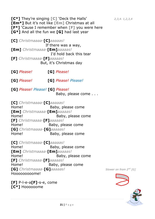**[C\*]** They're singing **[C]** 'Deck the Halls' *2,3,4. 1,2,3,4* **[Em\*]** But it's not like **[Em]** Christmas at all **[F\*]** 'Cause I remember when **[F]** you were here **[G\*]** And all the fun we **[G]** had last year

**[C]** *Christmaaaa-***[C]***aaaaas!* If there was a way, **[Em]** *Christmaaaa-***[Em]***aaaaas!* I'd hold back this tear **[F]** *Christmaaaa-***[F]***aaaaas!* But, it's Christmas day

**[G]** *Please!* **[G]** *Please!*

- **[G]** *Please!* **[G]** *Please! Please!*
- **[G]** *Please! Please!* **[G]** *Please!*

Baby, please come . . .

**[C]** *Christmaaaa-***[C]***aaaaas!* Home! Baby, please come **[Em]** *Christmaaaa-***[Em]***aaaaas!* Home! Baby, please come **[F]** *Christmaaaa-***[F]***aaaaas!* Home! Baby, please come **[G]** *Christmaaaa-***[G]***aaaaas!* Home! Baby, please come

**[C]** *Christmaaaa-***[C]***aaaaas!* Home! Baby, please come **[Em]** *Christmaaaa-***[Em]***aaaaas!* Home! Baby, please come **[F]** *Christmaaaa-***[F]***aaaaas!* Home! Baby, please come **[G]** *Christmaaaa-***[G]***aaaaas! Slower on from 2nd [G]* Hooooooooome!

**[F]** P-l-e-a**[F]**-s-e, come **[C\*]** Hoooooome



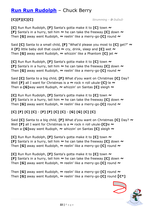## <span id="page-21-0"></span>**[Run Run Rudolph](https://youtu.be/L6zHLP-stDY)** – Chuck Berry

**[C][F][C][C]** *Strumming – D DuDuD*

**[C]** Run Run Rudolph, **[F]** Santa's gotta make it to **[C]** town **~ [F]** Santa's in a hurry, tell him **~** he can take the freeway **[C]** down **~** Then **[G]** away went Rudolph, **~** reelin' like a merry-go-**[C]** round **~**

Said **[C]** Santa to a small child, **[F]** "What'd please you most to **[C]** get?" **~** A **[F]** little baby doll that could **~** cry, drink, sleep and **[C]** wet **~** Then **[G]** away went Rudolph, **~** whizzin' like a Phantom **[C]** jet **~**

**[C]** Run Run Rudolph, **[F]** Santa's gotta make it to **[C]** town **~ [F]** Santa's in a hurry, tell him **~** he can take the freeway **[C]** down **~** Then **[G]** away went Rudolph, **~** reelin' like a merry-go-**[C]** round **~**

Said **[C]** Santa to a big child, **[F]** What d'you want on Christmas **[C]** Day? Well **[F]** all I want for Christmas is a **~** rock n roll ukule-**[C]**-le **~** Then a-**[G]**way went Rudoph, **~** whizzin' on Santas **[C]** sleigh **~**

**[C]** Run Run Rudolph, **[F]** Santa's gotta make it to **[C]** town **~ [F]** Santa's in a hurry, tell him **~** he can take the freeway **[C]** down **~** Then **[G]** away went Rudolph, **~** reelin' like a merry-go-**[C]** round **~**

#### **[C] [F] [C] [C]** - **[F] [F] [C] [C]** - **[G] [G] [C] [C]**

Said **[C]** Santa to a big child, **[F]** What d'you want on Christmas **[C]** Day? **~** Well **[F]** all I want for Christmas is a **~** rock n roll ukule-**[C]**le **~** Then a-**[G]**way went Rudoph, **~** whizzin' on Santas **[C]** sleigh **~**

**[C]** Run Run Rudolph, **[F]** Santa's gotta make it to **[C]** town **~ [F]** Santa's in a hurry, tell him **~** he can take the freeway **[C]** down **~** Then **[G]** away went Rudolph, **~** reelin' like a merry-go-**[C]** round **~**

**[C]** Run Run Rudolph, **[F]** Santa's gotta make it to **[C]** town **~ [F]** Santa's in a hurry, tell him **~** he can take the freeway **[C]** down **~** Then **[G]** away went Rudolph, **~** reelin' like a merry-go-**[C]** round **~**

Then **[G]** away went Rudolph, **~** reelin' like a merry-go-**[C]** round **~** Then **[G]** away went Rudolph, **~** reelin' like a merry-go-**[C]** round **[C\*]**

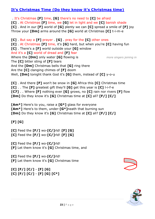#### <span id="page-22-0"></span>**[It's Christmas Time \(Do they know it's Christmas time\)](https://youtu.be/bjQzJAKxTrE)**

. It's Christmas **[F]** time, **[G]** there's no need to **[C]** be afraid **[C]** . At Christmas **[F]** time, we **[G]** let in light and we **[C]** banish shade **[C]** . And in our **[F]** world of **[G]** plenty we can **[C]** spread a smile of **[F]** joy Throw your **[Dm]** arms around the **[G]** world at Christmas **[C]** t-i-m-e

**[C]** . But say a **[F]** prayer . **[G]** . pray for the **[C]** other ones **[C]** . At Christmas **[F]** time, it's **[G]** hard, but when you're **[C]** having fun **[C]** . There's a **[F]** world outside your **[G]** window And it's a **[C]** world of dread and **[F]** fear Where the **[Dm]** only water **[G]** flowing is *more singers joining in* The **[C]** bitter sting of **[F]** tears And the **[Dm]** Christmas bells that **[G]** ring there Are the **[C]** clanging chimes of **[F]** doom Well, **[Dm]** tonight thank God it's **[G]** them, instead of **[C]** y-o-u

**[C]** . And there **[F]** won't be snow in **[G]** Africa this **[C]** Christmas time **[C]** . . The **[F]** greatest gift they'll **[G]** get this year is **[C]** l-i-f-e **[C7]** . . Where **[F]** nothing ever **[G]** grows, no **[C]** rain nor rivers **[F]** flow **[Dm]** Do they know it's **[G]** Christmas time at **[C]** all? **[F/] [C/]**

**[Am\*]** Here's to you, raise a **[G\*]** glass for everyone **[Am\*]** Here's to them, under-**[G\*]**neath that burning sun **[Dm]** Do they know it's **[G]** Christmas time at **[C]** all? **[F/] [C/]**

#### **[F] [G]**

**[C]** Feed the **[F/]** wo-**[C/]**rld! **[F] [G] [C]** Feed the **[F/]** wo-**[C/]**rld! **[F] [G]**

**[C]** Feed the **[F/]** wo-**[C/]**rld! **[F]** Let them know it's **[G]** Christmas time, and

**[C]** Feed the **[F/]** wo-**[C/]**rld! **[F]** Let them know it's **[G]** Christmas time

**[C] [F/] [C/]** - **[F] [G] [C] [F/] [C/]** - **[F] [G] [C\*]**



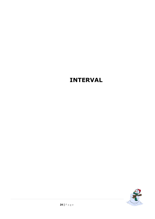## **INTERVAL**

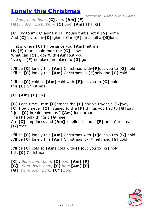## <span id="page-24-0"></span>**[Lonely this Christmas](https://youtu.be/NJ6kJ7GWtv0)**

*Strumming – D DuD Du or DuDuDuDu*

*. . Bom, bom, bom,* **[C]** *bom* **[Am] [F] [G]** *. . Bom, bom, bom,* **[C]** *bom* **[Am] [F] [G]**

**[C]** Try to im-**[C]**agine a **[F]** house that's not a **[G]** home And **[C]** try to im-**[C]**agine a Chri-**[F]**stmas all a-**[G]**lone

That's where **[C]** I'll be since you **[Am]** left me My **[F]** tears could melt the **[G]** snow What can **[C]** I do? With-**[Am]**out you I've got **[F]** no place, no place to **[G]** go

It'll be **[C]** lonely this **[Am]** Christmas with-**[F]**out you to **[G]** hold It'll be **[C]** lonely this **[Am]** Christmas lo-**[F]**nely and **[G]** cold

It'll be **[C]** cold so **[Am]** cold with-**[F]**out you to **[G]** hold this **[C]** Christmas

### **[C] [Am] [F] [G]**

**[C]** Each time I rem-**[C]**ember the **[F]** day you went a-**[G]**way **[C]** How I never **[C]** listened to the **[F]** things you had to **[G]** say I just **[C]** break down, as I **[Am]** look around The **[F]** only things I **[G]** see Are **[C]** emptiness and **[Am]** loneliness and a **[F]** unlit Christmas **[G]** tree

It'll be **[C]** lonely this **[Am]** Christmas with-**[F]**out you to **[G]** hold It'll be **[C]** lonely this **[Am]** Christmas lo-**[F]**nely and **[G]** cold

It'll be **[C]** cold so **[Am]** cold with-**[F]**out you to **[G]** hold this **[C]** Christmas

**[C]** *. Bom, bom, bom,* **[C]** *bom* **[Am] [F]** 

**[G]** . *Bom, bom, bom,* **[C]** *bom* **[Am] [F]** 

**[G]** *. Bom, bom, bom,* **[C\*]** *bom*

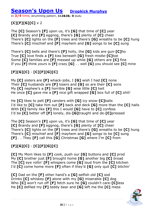## <span id="page-25-0"></span>**[Season's Upon Us](https://youtu.be/fi_W4uMyvqI) Dropkick Murphys**

In **3/4** time, strumming pattern, **1**&**2&3&**; **D** dudu

#### **[C][F][G][C]** x 2

The **[C]** Season's **[F]** upon us, it's **[G]** that time of **[C]** year **[C]** Brandy and **[F]** eggnog, there's **[G]** plenty of **[C]** cheer There's **[C]** lights on the **[F]** trees and there's **[G]** wreaths to be **[C]** hung There's **[C]** mischief and **[F]** mayhem and **[G]** songs to be **[C]** sung

There's **[C]** bells and there's **[F]** holly, the **[G]** kids are gun-**[C]**ho True **[C]** love finds a **[F]** kiss beneath **[G]** fresh mistle-**[C]**toe Some **[C]** families are **[F]** messed up while **[G]** others are **[C]** fine If you **[F]** think yours is **[F]** crazy **[G]** . . well **[G]** you should see **[C]** mine

#### **[F][G][C]** - **[C][F][G][C]**

My **[C]** sisters are **[F]** whack-jobs, I **[G]** wish I had **[C]** none Their **[C]** husbands are **[F]** losers and **[G]** so are their **[C]** sons My **[C]** nephew's a **[F]** horrible **[G]** wise little **[C]** twit He once **[C]** gave me a **[F]** nice gift wrapped **[G]** box full of **[C]** *shit!*

He **[C]** likes to pelt **[F]** carolers with **[G]** icy snow-**[C]**balls I'd like to **[C]** take him out **[F]** back and deck **[G]** more than the **[C]** halls With **[C]** family like **[F]** this I would **[G]** have to **[C]** confess I'd be **[C]** better off **[F]** lonely, dis-**[G]**traught and de-**[C]**pressed

The **[C]** Season's **[F]** upon us, it's **[G]** that time of **[C]** year **[C]** Brandy and **[F]** eggnog, there's **[G]** plenty of **[C]** cheer There's **[C]** lights on the **[F]** trees and there's **[G]** wreaths to be **[C]** hung There's **[C]** mischief and **[F]** mayhem and **[G]** songs to be **[C]** sung **[F]** . . They **[F]** call this **[G]** Christmas **[G]** where I'm **[C]** from

#### **[F][G][C]** - **[C][F][G][C]**

**[C]** My Mom likes to **[F]** cook, push our **[G]** buttons and **[C]** prod My **[C]** brother just **[F]** brought home **[G]** another big **[C]** broad The **[C]** eye rollin' **[F]** whispers come **[G]** loud from the **[C]** kitchen I'd **[C]** come home more **[F]** often if they'd **[G]** only quit **[C]** bitchin'

**[C]** Dad on the **[F]** other hand's a **[G]** selfish old **[C]** sod Drinks **[C]** whiskey **[F]** alone with my **[G]** miserable **[C]** dog Who **[C]** won't run off **[F]** fetch sure he **[G]** couldn't care-**[C]**less He **[C]** defiled my **[F]** teddy bear and **[G]** left me the **[C]** mess

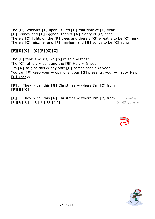The **[C]** Season's **[F]** upon us, it's **[G]** that time of **[C]** year **[C]** Brandy and **[F]** eggnog, there's **[G]** plenty of **[C]** cheer There's **[C]** lights on the **[F]** trees and there's **[G]** wreaths to be **[C]** hung There's **[C]** mischief and **[F]** mayhem and **[G]** songs to be **[C]** sung

#### **[F][G][C]** - **[C][F][G][C]**

The **[F]** table's **~** set, we **[G]** raise a **~** toast The **[C]** father, **~** son, and the **[G]** Holy **~** Ghost I'm **[G]** so glad this **~** day only **[C]** comes once a **~** year You can [F] keep your  $\sim$  opinions, your [G] presents, your  $\sim$  happy New **[C]** Year **~**

**[F]** . . They **~** call this **[G]** Christmas **~** where I'm **[C]** from **[F][G][C]**

**[F]** . . They **~** call this **[G]** Christmas **~** where I'm **[C]** from *slowing/* **[F][G][C]** - **[C][F][G][C\*]** *& getting quieter*



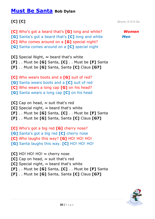## <span id="page-27-0"></span>**[Must Be Santa](https://youtu.be/a8qE6WQmNus) Bob Dylan**

## **[C] [C]** *Strum; D D D Du*

**[C]** Who's got a beard that's **[G]** long and white? *Women*

**[G]** Santa's got a beard that's **[C]** long and white *Men*

**[C]** Who comes around on a **[G]** special night?

**[G]** Santa comes around on a **[C]** special night

**[C]** Special Night, **~** beard that's white

**[F]** . . Must be **[G]** Santa, **[C]** . . Must be **[F]** Santa

**[F]** . . Must be **[G]** Santa, Santa **[C]** Claus **[G7]**

**[C]** Who wears boots and a **[G]** suit of red?

**[G]** Santa wears boots and a **[C]** suit of red

**[C]** Who wears a long cap **[G]** on his head?

**[G]** Santa wears a long cap **[C]** on his head

**[C]** Cap on head, **~** suit that's red

**[C]** Special night, **~** beard that's white

**[F]** . . Must be **[G]** Santa, **[C]** . . Must be **[F]** Santa

- **[F]** . . Must be **[G]** Santa, Santa **[C]** Claus **[G7]**
- **[C]** Who's got a big red **[G]** cherry nose?
- **[G]** Santa's got a big red **[C]** cherry nose

**[C]** Who laughs this way? **[G]** HO! HO! HO!

**[G]** Santa laughs this way. **[C]** HO! HO! HO!

**[C]** HO! HO! HO! **~** cherry nose

**[C]** Cap on head, **~** suit that's red

**[C]** Special night, **~** beard that's white

**[F]** . . Must be **[G]** Santa, **[C]** . . Must be **[F]** Santa

**[F]** . . Must be **[G]** Santa, Santa **[C]** Claus **[G7]**



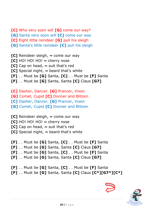**[C]** Who very soon will **[G]** come our way?

**[G]** Santa very soon will **[C]** come our way

**[C]** Eight little reindeer **[G]** pull his sleigh

**[G]** Santa's little reindeer **[C]** pull his sleigh

- **[C]** Reindeer sleigh, **~** come our way
- **[C]** HO! HO! HO! **~** cherry nose
- **[C]** Cap on head, **~** suit that's red
- **[C]** Special night, **~** beard that's white
- **[F]** . . Must be **[G]** Santa, **[C]** . . Must be **[F]** Santa
- **[F]** . . Must be **[G]** Santa, Santa **[C]** Claus **[G7]**
- **[C]** Dasher, Dancer, **[G]** Prancer, Vixen
- **[G]** Comet, Cupid **[C]** Donner and Blitzen
- **[C]** Dasher, Dancer, **[G]** Prancer, Vixen
- **[G]** Comet, Cupid **[C]** Donner and Blitzen
- **[C]** Reindeer sleigh, **~** come our way
- **[C]** HO! HO! HO! **~** cherry nose
- **[C]** Cap on head, **~** suit that's red
- **[C]** Special night, **~** beard that's white
- **[F]** . . Must be **[G]** Santa, **[C]** . . Must be **[F]** Santa
- **[F]** . . Must be **[G]** Santa, Santa **[C]** Claus **[G7]**
- **[F]** . . Must be **[G]** Santa, **[C]** . . Must be **[F]** Santa
- **[F]** . . Must be **[G]** Santa, Santa **[C]** Claus **[G7]**
- **[F]** . . Must be **[G]** Santa, **[C]** . . Must be **[F]** Santa
- **[F]** . . Must be **[G]** Santa, Santa **[C]** Claus **[C\*][G7\*][C\*]**

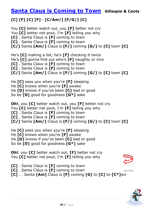## <span id="page-29-0"></span>**[Santa Claus is Coming to Town](https://youtu.be/OsyxFkYZ-aU) Gillespie & Coots**

#### **[C] [F] [C] [F]** - **[C/Am/] [F/G/] [C]**

You **[C]** better watch out, you **[F]** better not cry

You **[C]** better not pout, I'm **[F]** telling you why

**[C]** . Santa Claus is **[F]** coming to town

**[C]** . Santa Claus is **[F]** coming to town

**[C/]** Santa **[Am/]** Claus is **[F/]** coming **[G/]** to **[C]** town **[C]**

He's **[C]** making a list, he's **[F]** checking it twice

He's **[C]** gonna find out who's **[F]** naughty or nice

**[C]** . Santa Claus is **[F]** coming to town

**[C]** . Santa Claus is **[F]** coming to town

**[C/]** Santa **[Am/]** Claus is **[F/]** coming **[G/]** to **[C]** town **[C]**

He **[C]** sees you when you're **[F]** sleeping

He **[C]** knows when you're **[F]** awake

He **[D]** knows if you've been **[C]** bad or good

So be **[D]** good for goodness **[G\*]** sake

**Oh!**, you **[C]** better watch out, you **[F]** better not cry

You **[C]** better not pout, I'm **[F]** telling you why

**[C]** . Santa Claus is **[F]** coming to town

**[C]** . Santa Claus is **[F]** coming to town

**[C/]** Santa **[Am/]** Claus is **[F/]** coming **[G/]** to **[C]** town **[C]**

He **[C]** sees you when you're **[F]** sleeping

He **[C]** knows when you're **[F]** awake

He **[D]** knows if you've been **[C]** bad or good

So be **[D]** good for goodness **[G\*]** sake

**Oh!**, you **[C]** better watch out, **[F]** better not cry You **[C]** better not pout, I'm **[F]** telling you why

**[C]** . Santa Claus is **[F]** coming to town

- **[C]** . Santa Claus is **[F]** coming to town *slowing*
- **[C]** . . Santa **[Am]** Claus is **[F]** coming **[G]** to **[C]** to-**[C\*]**wn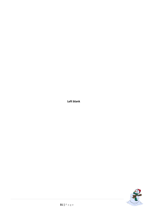**Left blank**

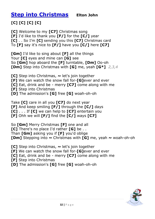## <span id="page-31-0"></span>**[Step into Christmas](https://youtu.be/IbRtGMm96F8) Elton John**

#### **[C] [C] [C] [C]**

**[C]** Welcome to my **[C7]** Christmas song **[F]** I'd like to thank you **[F/]** for the **[C/]** year **[C]** . . So I'm **[C]** sending you this **[C7]** Christmas card To **[F]** say it's nice to **[F/]** have you **[C/]** here **[C7]** 

**[Gm]** I'd like to sing about **[F]** all the things Your **[C]** eyes and mine can **[G]** see So **[Gm]** hop aboard the **[F]** turntable, **[Dm]** Oo-oh **[Dm]** Step into Christmas with **[G]** me, yeah **[G\*]** *2,3,4*

**[C]** Step into Christmas, **~** let's join together

- **[F]** We can watch the snow fall for-**[G]**ever and ever
- **[C]** Eat, drink and be merry **[C7]** come along with me
- **[F]** Step into Christmas
- **[D]** The admission's **[G]** free **[G]** woah-oh-oh

Take **[C]** care in all you **[C7]** do next year **[F]** And keep smiling **[F/]** through the **[C/]** days **[C]** . . . If **[C]** we can help to **[C7]** entertain you **[F]** Ohh we will **[F/]** find the **[C/]** ways **[C7]**

So **[Gm]** Merry Christmas **[F]** one and all **[C]** There's no place I'd rather **[G]** be . . Than **[Gm]** asking you if **[F]** you'd oblige **[Dm]** Stepping into **~** Christmas with **[G]** me, yeah **~** woah-oh-oh

**[C]** Step into Christmas, **~** let's join together

**[F]** We can watch the snow fall for-**[G]**ever and ever

- **[C]** Eat, drink and be merry **[C7]** come along with me
- **[F]** Step into Christmas
- **[D]** The admission's **[G]** free **[G]** woah-oh-oh

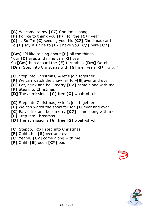**[C]** Welcome to my **[C7]** Christmas song **[F]** I'd like to thank you **[F/]** for the **[C/]** year **[C]** . . So I'm **[C]** sending you this **[C7]** Christmas card To **[F]** say it's nice to **[F/]** have you **[C/]** here **[C7]** 

**[Gm]** I'd like to sing about **[F]** all the things Your **[C]** eyes and mine can **[G]** see So **[Gm]** hop aboard the **[F]** turntable, **[Dm]** Oo-oh **[Dm]** Step into Christmas with **[G]** me, yeah **[G\*]** *2,3,4*

- **[C]** Step into Christmas, **~** let's join together
- **[F]** We can watch the snow fall for-**[G]**ever and ever
- **[C]** Eat, drink and be merry **[C7]** come along with me
- **[F]** Step into Christmas
- **[D]** The admission's **[G]** free **[G]** woah-oh-oh
- **[C]** Step into Christmas, **~** let's join together
- **[F]** We can watch the snow fall for-**[G]**ever and ever
- **[C]** Eat, drink and be merry **[C7]** come along with me
- **[F]** Step into Christmas
- **[D]** The admission's **[G]** free **[G]** woah-oh-oh
- **[C]** Steppp, **[C7]** step into Christmas
- **[F]** Ohhh, for-**[G]**ever and ever
- **[C]** Yeahh, **[C7]** come along with me
- **[F]** Ohhh **[G]** oooh **[C\*]** ooo



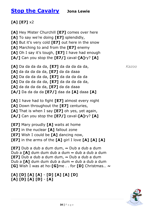## <span id="page-33-0"></span>**[Stop the Cavalry](https://youtu.be/2HkJHApgKqw) Jona Lewie**

#### **[A] [E7]** x2

**[A]** Hey Mister Churchill **[E7]** comes over here **[A]** To say we're doing **[E7]** splendidly, **[A]** But it's very cold **[E7]** out here in the snow **[A]** Marching to and from the **[E7]** enemy **[A]** Oh I say it's tough, **[E7]** I have had enough **[A/]** Can you stop the **[E7/]** caval-**[A]**ry? **[A] [A]** Da da da da da, **[E7]** da da da da da, *Kazoo* **[A]** da da da da da, **[E7]** da da daaa **[A]** Da da da da da, **[E7]** da da da da da **[A]** Da da da da da, **[E7]** da da da da da, **[A]** da da da da da, **[E7]** da da daaa **[A/]** Da da da da **[E7/]** daa da **[A]** daaa **[A] [A]** I have had to fight **[E7]** almost every night **[A]** Down throughout the **[E7]** centuries, **[A]** That is when I say **[E7]** oh yes, yet again,

**[A/]** Can you stop the **[E7/]** caval-**[A]**ry? **[A]**

**[E7]** Mary proudly **[A]** waits at home **[E7]** in the nuclear **[A]** fallout zone **[E7]** Wish I could be **[A]** dancing now, **[E7]** in the arms of the **[A]** girl I love **[A] [A] [A]**

**[E7]** Dub a dub a dum dum, **~** Dub a dub a dum Dub a **[A]** dum dum dub a dum **~** dub a dub a dum **[E7]** Dub a dub a dum dum, **~** Dub a dub a dum Dub a **[A]** dum dum dub a dum **~** dub a dub a dum **[G]** Wish I was at ho-**[G]**me . . for **[D]** Christmas… **~**

#### **[A] [D] [A] [A]** - **[D] [A] [A] [D] [A] [D] [A] [D]** - **[A]**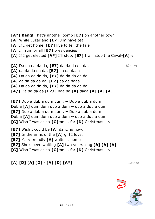**[A\*] Bang!** That's another bomb **[E7]** on another town **[A]** While Luzar and **[E7]** Jim have tea **[A]** If I get home, **[E7]** live to tell the tale **[A]** I'll run for all **[E7]** presidencies **[A]** If I get elected **[A\*]** I'll stop, **[E7]** I will stop the Caval-**[A]**ry **[A]** Da da da da da, **[E7]** da da da da da, *Kazoo*

**[A]** da da da da da, **[E7]** da da daaa **[A]** Da da da da da, **[E7]** da da da da da **[A]** da da da da da, **[E7]** da da daaa **[A]** Da da da da da, **[E7]** da da da da da, **[A/]** Da da da da **[E7/]** daa da **[A]** daaa **[A] [A] [A]**

**[E7]** Dub a dub a dum dum, **~** Dub a dub a dum Dub a **[A]** dum dum dub a dum **~** dub a dub a dum **[E7]** Dub a dub a dum dum, **~** Dub a dub a dum Dub a **[A]** dum dum dub a dum **~** dub a dub a dum **[G]** Wish I was at ho-**[G]**me . . for **[D]** Christmas… **~**

**[E7]** Wish I could be **[A]** dancing now, **[E7]** In the arms of the **[A]** girl I love. **[E7]** Mary proudly **[A]** waits at home **[E7]** She's been waiting **[A]** two years long **[A] [A] [A] [G]** Wish I was at ho-**[G]**me . . for **[D]** Christmas… **~**

## **[A] [D] [A] [D]** - **[A] [D] [A\*]** *Slowing*

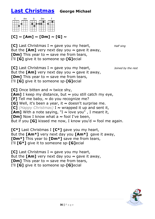<span id="page-35-0"></span>**[Last Christmas](https://youtu.be/E8gmARGvPlI) George Michael**

| C | Am | G | Dm | E |
|---|----|---|----|---|
|   |    |   |    |   |

**[C] ~ [Am] ~ [Dm] ~ [G] ~**

**[C]** Last Christmas I  $\sim$  gave you my heart, *Half sing* But the **[Am]** very next day you **~** gave it away, **[Dm]** This year to **~** save me from tears, I'll **[G]** give it to someone sp-**[G]**ecial

**[C]** Last Christmas I **~** gave you my heart, *Joined by the rest* But the  $[Am]$  very next day you  $\sim$  gave it away, **[Dm]** This year to **~** save me from tears, I'll **[G]** give it to someone sp-**[G]**ecial

**[C]** Once bitten and **~** twice shy, **[Am]** I keep my distance, but **~** you still catch my eye, **[F]** Tell me baby, **~** do you recognize me? **[G]** Well, it's been a year, it **~** doesn't surprise me. **[C]** *(Happy Christmas)* I **~** wrapped it up and sent it, **[Am]** With a note saying, "I **~** love you" , I meant it, **[Dm]** Now I know what a **~** fool I've been, But if you **[G]** kissed me now, I know you'd **~** fool me again.

**[C\*]** Last Christmas I **[C\*]** gave you my heart, But the **[Am\*]** very next day you **[Am\*]** gave it away, **[Dm\*]** This year to **[Dm\*]** save me from tears, I'll **[G\*]** give it to someone sp-**[G]**ecial

**[C]** Last Christmas I **~** gave you my heart, But the  $[Am]$  very next day you  $\sim$  gave it away, **[Dm]** This year to **~** save me from tears, I'll **[G]** give it to someone sp-**[G]**ecial

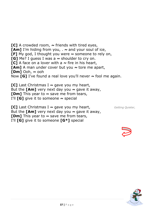**[C]** A crowded room, **~** friends with tired eyes, **[Am]** I'm hiding from you, . **~** and your soul of ice, **[F]** My god, I thought you were **~** someone to rely on, **[G]** Me? I guess I was a **~** shoulder to cry on. **[C]** A face on a lover with a **~** fire in his heart, **[Am]** A man under cover but you **~** tore me apart, **[Dm]** Ooh, **~** ooh Now **[G]** I've found a real love you'll never **~** fool me again.

**[C]** Last Christmas I **~** gave you my heart, But the  $\text{[Am]}$  very next day you  $\sim$  gave it away, **[Dm]** This year to **~** save me from tears, I'll **[G]** give it to someone **~** special

**[C]** Last Christmas I **~** gave you my heart, *Getting Quieter,* But the **[Am]** very next day you **~** gave it away, **[Dm]** This year to **~** save me from tears, I'll **[G]** give it to someone **[G\*]** special



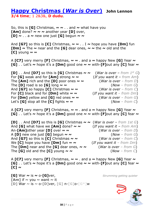#### <span id="page-37-0"></span>**[Happy Christmas \(](https://youtu.be/C-c7S56HvBg)***War is Over***) John Lennon 3/4 time**; 1 2&3&, **D dudu.**

So, this is **[G]** Christmas, **~ ~** . . and **~** what have you **[Am]** done? **~ ~ ~** another year **[D]** over, **[D]**  $\sim$  . . a  $\sim$  new one just **[G]** begun  $\sim \sim$ 

And **[G7]** so this is **[C]** Christmas, **~ ~** . . I **~** hope you have **[Dm]** fun **[Dm] ~** The **~** near and the **[G]** dear ones, **~ ~** the **~** old and the **[C]** young **~ ~**

A **[C7]** very merry **[F]** Christmas, **~ ~** . and a **~** happy New **[G]** Year **~ [G]** . . Let's **~** hope it's a **[Dm]** good one **~ ~** with-**[F]**out any **[C]** fear **~**

| [D] And [D7] so this is [G] Christmas $\sim \sim$ | ( <i>War is over – from <math>1^{st}</math> G</i> ) |
|---------------------------------------------------|-----------------------------------------------------|
| For [G] weak and for [Am] strong $\sim \sim$      | <i>(If you want it – from Am)</i>                   |
| The [Am] rich and the [D] poor ones $\sim \sim$   | (War is over $-$ from D)                            |
| The [D] road is so [G] long $\sim \sim$           | $(Now - from G)$                                    |
| And [G7] so happy [C] Christmas $\sim \sim$       | (War is over – from $C$ )                           |
| For [C] black and for [Dm] white $\sim \sim$      | (If you want it – from Dm)                          |
| For [Dm] yellow and [G] red ones $\sim \sim$      | (War is over – from $G$ )                           |
| Let's [G] stop all the [C] fights $\sim \sim$     | $(Now - from C)$                                    |

A **[C7]** very merry **[F]** Christmas, **~ ~** . and a **~** happy New **[G]** Year **~ [G]** . . Let's  $\sim$  hope it's a **[Dm]** good one  $\sim$   $\sim$  with-**[F]**out any **[C]** fear  $\sim$ 

| <b>[D]</b> And <b>[D7]</b> so this is <b>[G]</b> Christmas $\sim \sim$ ( <i>War is over – from 1st G</i> ) |                                   |
|------------------------------------------------------------------------------------------------------------|-----------------------------------|
| And [G] what have we [Am] done? $\sim \sim$                                                                | <i>(If you want it – from Am)</i> |
| An-[Am]other year [D] over $\sim \sim$                                                                     | ( <i>War is over – from D</i> )   |
| A [D] new one just [G] begun $\sim \sim$                                                                   | $(Now - from G)$                  |
| And [G7] so this is [C] Christmas $\sim \sim$                                                              | ( <i>War is over – from C</i> )   |
| We [C] hope you have [Dm] fun $\sim \sim$                                                                  | (If you want it – from Dm)        |
| The [Dm] near and the [G] dear ones, $\sim \sim$                                                           | ( <i>War is over – from G</i> )   |
| The [G] old and the [C] young $\sim \sim$                                                                  | $(Now - from C)$                  |

A **[C7]** very merry **[F]** Christmas, **~ ~** . and a **~** happy New **[G]** Year **~ [G]** . . Let's **~** hope it's a **[Dm]** good one **~ ~** with-**[F]**out any **[C]** fear **~ [C] ~**

**[G]** War **~** is **~** o-**[G]**ver, *Strumming getting quieter* **[Am]** if  $\sim$  you  $\sim$  want  $\sim$  it **[D]** War **~** is **~** o-**[D]**ver, **[G]** n-**[G]**o-**[G\*]**w

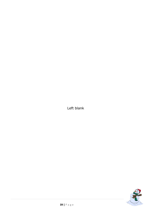Left blank

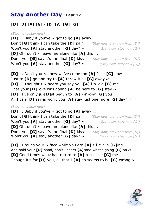## <span id="page-39-0"></span>**[Stay Another Day](https://youtu.be/-wNhdjoF-6M)** East 17

### **[D] [D] [A] [G]** - **[D] [A] [G] [G]**

*(Stay now, stay now)*

**[D]** . . Baby if you've **~** got to go **[A]** away . . Don't **[G]** think I can take the **[D]** pain *(Stay now, stay now from [D])* Won't you **[A]** stay another **[G]** day? **~** *(Stay now, stay now [G])* **[D]** Oh, don't **~** leave me alone like **[A]** this . . Don't you **[G]** say it's the final **[D]** kiss *(Stay now, stay now from [D])* Won't you **[A]** stay another **[G]** day? **~** *(Stay now, stay now [G])*

**[D]** . . Don't you **~** know we've come too **[A]** f-a-r **[G]** now Just to **[D]** go and try to **[A]** throw it all **[G]** away **~ [D]** . . Thought I **~** heard you say you **[A]** l-o-v-e **[G]** me That your **[D]** love was gonna **[A]** be here to **[G]** stay **~ [D]** . I've only ju-**[D]**st begun to **[A]** k-n-o-w **[G]** you All I can **[D]** say is won't you **[A]** stay just one more **[G]** day? **~**

*(Stay now, stay now)*

**[D]** . . Baby if you've **~** got to go **[A]** away . . Don't **[G]** think I can take the **[D]** pain *(Stay now, stay now from [D])* Won't you **[A]** stay another **[G]** day? **~** *(Stay now, stay now [G])* **[D]** Oh, don't **~** leave me alone like **[A]** this . . Don't you **[G]** say it's the final **[D]** kiss *(Stay now, stay now from [D])* Won't you **[A]** stay another **[G]** day? **~** *(Stay now, stay now [G])*

**[D]** . I touch your **~** face while you are **[A]** s-l-e-e-p-**[G]**ing . And hold your **[D]** hand, don't unders-**[A]**tand what's going **[G]** on **~ [D]** Good times we **~** had return to **[A]** h-a-u-n-t **[G]** me Though it's for **[D]** you, all that I **[A]** do seems to be **[G]** wrong **~**

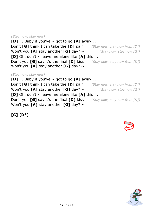#### *(Stay now, stay now)*

**[D]** . . Baby if you've **~** got to go **[A]** away . . Don't **[G]** think I can take the **[D]** pain *(Stay now, stay now from [D])* Won't you **[A]** stay another **[G]** day? **~** *(Stay now, stay now [G])* **[D]** Oh, don't **~** leave me alone like **[A]** this . . Don't you **[G]** say it's the final **[D]** kiss *(Stay now, stay now from [D])* Won't you **[A]** stay another **[G]** day? **~**

#### *(Stay now, stay now)*

**[D]** . . Baby if you've **~** got to go **[A]** away . . Don't **[G]** think I can take the **[D]** pain *(Stay now, stay now from [D])* Won't you **[A]** stay another **[G]** day? **~** *(Stay now, stay now [G])* **[D]** Oh, don't **~** leave me alone like **[A]** this . . Don't you **[G]** say it's the final **[D]** kiss *(Stay now, stay now from [D])* Won't you **[A]** stay another **[G]** day? **~**

**[G] [D\*]**



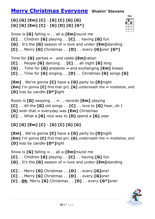## <span id="page-41-0"></span>**[Merry Christmas Everyone](https://youtu.be/N-PyWfVkjZc) Shakin' Stevens**

#### **[G] [G] [Em] [C]** - **[G] [C] [G] [G] [G] [G] [Em] [C]** - **[G] [D] [G] [G\*]**



Snow is **[G]** falling **~** . . all a-**[Em]**round me

**[C]** . . Children **[G]** playing . . **[C]** . . having **[G]** fun

**[G]** . It's the **[G]** season of **~** love and under-**[Em]**standing

**[C]** . . Merry **[G]** Christmas . . **[D]** . . every-**[G]**one! **[G\*]** 

Time for **[G]** parties **~** . and celeb-**[Em]**ration

**[C]** . . People **[G]** dancing . . **[C]** . . all night **[G]** long

**[G]** . . Time for **[G]** presents **~** and exchanging **[Em]** kisses

**[C]** . . Time for **[G]** singing . . **[D]** . . Christmas **[G]** songs **[G]**

**[Em]** . We're gonna **[C]** have a **[G]** party to-**[D]**night **[Em]** I'm gonna **[C]** find that girl, **[G]** underneath the **~** mistletoe, and **[D]** kiss by candle-**[D\*]**light

Room is **[G]** swaying . . **~** . . records **[Em]** playing **[C]** . . All the **[G]** old songs . . **[C]** . . love to **[G]** hear, oh I **[G]** wish that **~** everyday was **[Em]** Christmas **[C]** . . What a **[G]** nice way to **[D]** spend a **[G]** year

## **[G] [G] [Em] [C]** - **[G] [C] [G] [G]**

**[Em]** . We're gonna **[C]** have a **[G]** party to-**[D]**night **[Em]** I'm gonna **[C]** find that girl, **[G]** underneath the **~** mistletoe, and **[D]** kiss by candle-**[D\*]**light

Snow is **[G]** falling **~** . . all a-**[Em]**round me

**[C]** . . Children **[G]** playing . . **[C]** . . having **[G]** fun

**[G]** . It's the **[G]** season of **~** love and under-**[Em]**standing

**[C]** . . Merry **[G]** Christmas . . **[D]** . . every-**[G]**one!

- **[C]** . . Merry **[G]** Christmas . . **[D]** . . every-**[G]**one!
- **[C]** . **Oh**, Merry **[G]** Christmas . . **[D]** . . every-**[G\*]**one!

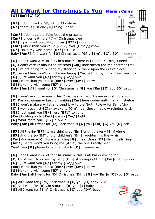#### <span id="page-42-0"></span>**[All I Want for Christmas Is You](https://youtu.be/2a-Vmr5PV6g) [Mariah Carey](https://youtu.be/aAkMkVFwAoo) [G] [Em] [C] [D]**  Cm

**[G\*]** I don't want a *[G]* lot for Christmas **[G\*]** there is just one *[G]* thing I need

**[Cm\*]** I don't care a-*[Cm]*bout the presents **[Cm\*]** underneath the *[Cm]* Christmas tree **[G\*]** I just want you *[G/]* for my **[B7\*/]** own **[Em\*]** More than you could *[Em/]* ever **[Cm\*/]** know **[G\*]** Make my wish come **[E7\*]** t-r-u-e Baby **[Am\*]** All I want for **[D]** Christmas is **[G]** y-**[Em]**o-**[C]**u **[D]** *Speed up* 

 *from* [G] **[G]** I don't want a **~** lot for Christmas **~** there is just one **~** thing I need **[C]** I don't care **~** about the presents **[Cm]** underneath the **~** Christmas tree **[G]** I'm not going to **~** hang my stocking **~** there upon the **~** fire place **[C]** Santa Claus won't **~** make me happy **[Cm]** with a toy on **~** Christmas day **[G]** I just want you **[G/]** for my **[B7/]** own **[Em]** More than you could **[Em/]** ever **[Cm/]** know **[G]** Make my wish come **[E7]** t-r-u-e Baby **[Am]** All I want for **[D]** Christmas is **[G]** you **[Em] [C]** you **[D]** baby

**[G]** I won't ask for **~** much this Christmas **~** I won't even **~** wish for snow **[C]** I'm just gonna **~** keep on waiting **[Cm]** here underneath the **~** mistletoe **[G]** I won't make a **~** list and send it **~** to the North Pole **~** for Saint Nick **[C]** I won't even st-**[C]**ay awake to **[Cm]** hear those magic **~** reindeer click **[G]** I just want you **[G/]** here **[B7/]** tonight **[Em]** Holding on to **[Em/]** me so **[Cm/]** tight **[G]** What more can I **[E7]** d-o-o-o Baby **[Am]** all I want for **[D]** Christmas is **[G]** you **[Em] [C]** you **[D]** ooh

**[B7]** All the lig-**[B7]**hts are shining so **[Em]** brightly every-**[Em]**where **[B7]** And the so-**[B7]**und of children's **[Em]** laughter fills the **~** air **[Cm]** And every-**[Cm]**one is singing **[G]** I hear those **[E7]** sleigh bells ringing **[Am\*]** Santa won't you bring me **[Am\*]** the one I really need Won't you **[D]** please bring my baby to **[D]** meeeee, **~**

**[G]** I don't want a **~** lot for Christmas **~** this is all I'm **~** asking for

**[C]** I just want to **~** see my baby **[Cm]** standing right out-**[Cm]**side my door

**[G]** I just want you **[G/]** for my **[B7/]** own

**[Em]** More than you could **[Em/]** ever **[Cm/]** know

**[G]** Make my wish come **[E7]** t-r-u-e

Baby **[Am]** all I want for **[D]** Christmas **[D]** is **[G]** yo-**[Em]**u **[C]** you **[D]** baby

**[G]** All I want for **[Em]** Christmas is **[C]** you **[D]** baby **x 2 [x]** All I want for **[x]** Christmas is **[x]** you **[x]** baby **[G]** All I want for **[Em]** Christmas is **[C]** you **[D\*]** baby



В7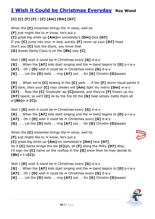## <span id="page-43-0"></span>**[I Wish it Could be Christmas Everyday](https://youtu.be/IJPc7esgvsA) Roy Wood**

#### **[C] [C] [F] [F] - [C] [Am] [Dm] [G7]**

When the **[C]** snowman brings the **~** snow, well he **[F]** just might like to **~** know, he's put a **[C]** great big smile up-**[Am]**on somebody's **[Dm]** face **[G7]** If you **[C]** jump into your **~** bed, quickly **[F]** cover up your **[D7]** head Don't you **[C]** lock the doors, you know that **[G]** Sweet Santa Claus is on the **[Bb]** way **[C]**

Well I **[D]** wish it could be **~** Christmas every **[G]** d-a-y **[G]** . . When the **[A7]** kids start singing and the **~** band begins to **[D]** p-l-a-y **[A7]**. . Oh I **[D]** wish it could be **~** Christmas every **[G]** d-a-y **[G]** . . . Let the **[D]** bells . . ring **[A7]** out . . for **[G]** Christm-**[D]**aaaas!

**[D]** . . When we're **[C]** skating in the **[C]** park . . if the **[F]** storm cloud paints it **[F]** dark, then your **[C]** rosy cheeks will **[Am]** light my merry **[Dm]** w-a-y **[G7]** . . Now the **[C]** 'frosticals' ap-**[C]**peared, and they've **[F]** frozen up my **[D7]** beard, so we'll **[C]** lie by the fire till the **[G]** heat simply melts them all a-**[Bb]**w-a-**[C]**y

Well I **[D]** wish it could be **~** Christmas every **[G]** d-a-y **[G]** . . When the **[A7]** kids start singing and the **~** band begins to **[D]** p-l-a-y **[A7]**. . Oh I **[D]** wish it could be **~** Christmas every **[G]** d-a-y **[G]** . . . Let the **[D]** bells . . ring **[A7]** out . . for **[G]** Christm-**[D]**aaaas!

When the **[C]** snowman brings the **~** snow, well he

**[F]** just might like to **~** know, he's put a

**[C]** great big smile up-**[Am]**-on somebody's **[Dm]** face **[G7]**



So if **[C]** Santa brings the sle-**[C]**igh, all **[F]** along the Milky **[D7]** Way,

I'll sign my **[C]** name on the rooftop in the **[G]** snow then he may decide to **[Bb]** s-t-a**[C]**y

Well I **[D]** wish it could be **~** Christmas every **[G]** d-a-y

**[G]** . . When the **[A7]** kids start singing and the **~** band begins to **[D]** p-l-a-y

- **[A7]**. . Oh I **[D]** wish it could be **~** Christmas every **[G]** d-a-y
- **[G]** . . . Let the **[D]** bells . . ring **[A7]** out . . for **[G]** Christm-**[D]**aaaas!

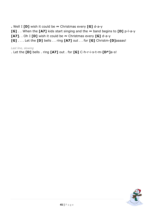**.** Well I **[D]** wish it could be **~** Christmas every **[G]** d-a-y **[G]** . . When the **[A7]** kids start singing and the **~** band begins to **[D]** p-l-a-y **[A7]**. . Oh I **[D]** wish it could be **~** Christmas every **[G]** d-a-y **[G]** . . . Let the **[D]** bells . . ring **[A7]** out . . for **[G]** Christm-**[D]**aaaas!

*Last line, slowing*

. Let the **[D]** bells . ring **[A7]** out . for **[G]** C-h-r-i-s-t-m-**[D\*]**a-s!

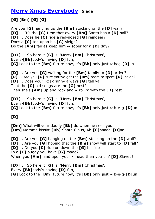## <span id="page-45-0"></span>**[Merry Xmas Everybody](https://youtu.be/BpfHSqLXePI) Slade**

## **[G] [Bm] [G] [G]**

Are you **[G]** hanging up the **[Bm]** stocking on the **[D]** wall? **[D]** . . It's the **[G]** time that every **[Bm]** Santa has a **[D]** ball? **[D]** . . Does he **[C]** ride a red-nosed **[G]** reindeer? Does a **[C]** ton upon his **[G]** sleigh? Do the **[Am]** fairies keep him **~** sober for a **[D]** day?

**[D7]** . . So here it **[G]** is, 'Merry **[Bm]** Christmas', Every-**[Bb]**body's having **[D]** fun, **[G]** Look to the **[Bm]** future now, it's **[Bb]** only just **~** beg-**[D]**un

**[D]** . . Are you **[G]** waiting for the **[Bm]** family to **[D]** arrive? **[D]** . . Are you **[G]** sure you've got the **[Bm]** room to spare **[D]** inside? **[D]** . . Does your **[C]** granny always **[G]** tell ya' That the **[C]** old songs are the **[G]** best? Then she's **[Am]** up and rock and **~** rollin' with the **[D]** rest.

**[D7]** . . So here it **[G]** is, 'Merry **[Bm]** Christmas', Every-**[Bb]**body's having **[D]** fun, **[G]** Look to the **[Bm]** future now, it's **[Bb]** only just **~** b-e-g-**[D]**un

#### **[D]**

**[Dm]** What will your daddy **[Bb]** do when he sees your **[Dm]** Mamma kissin' **[Bb]** Santa Claus, Ah-**[C]**haaaa–**[D]**aa

**[D]** . . Are you **[G]** hanging up the **[Bm]** stocking on the **[D]** wall?

**[D]** . . Are you **[G]** hoping that the **[Bm]** snow will start to **[D]** fall?

**[D]** . . Do you **[C]** ride on down the **[G]** hillside

In a **[C]** buggy you have **[G]** made?

When you **[Am]** land upon your **~** head then you bin' **[D]** Slayed!

**[D7]** . . So here it **[G]** is, 'Merry **[Bm]** Christmas',

Every-**[Bb]**body's having **[D]** fun,

**[G]** Look to the **[Bm]** future now, it's **[Bb]** only just **~** b-e-g-**[D]**un

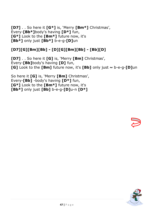**[D7]** . . So here it **[G\*]** is, 'Merry **[Bm\*]** Christmas', Every-**[Bb\*]**body's having **[D\*]** fun, **[G\*]** Look to the **[Bm\*]** future now, it's **[Bb\*]** only just **[Bb\*]** b-e-g-**[D]**un

#### **[D7][G][Bm][Bb] - [D][G][Bm][Bb] - [Bb][D]**

**[D7]** . . So here it **[G]** is, 'Merry **[Bm]** Christmas', Every-**[Bb]**body's having **[D]** fun, **[G]** Look to the **[Bm]** future now, it's **[Bb]** only just **~** b-e-g-**[D]**un

So here it **[G]** is, 'Merry **[Bm]** Christmas', Every-**[Bb]** -body's having **[D\*]** fun, **[G\*]** Look to the **[Bm\*]** future now, it's **[Bb\*]** only just **[Bb]** b-e-g-**[D]**u-n **[D\*]**



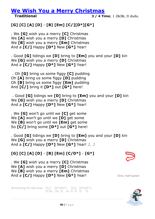# <span id="page-47-0"></span>**[We Wish You a Merry Christmas](https://youtu.be/bVhCWYfpack)**

**3 / 4 Time**; 1 2&3&; D dudu.

### **[G] [C] [A] [D]** - **[B] [Em] [C/][D\*][G\*]**

. We **[G]** wish you a merry **[C]** Christmas We **[A]** wish you a merry **[D]** Christmas We **[B]** wish you a merry **[Em]** Christmas And a **[C/]** Happy **[D\*]** New **[G\*]** Year!

. Good **[G]** tidings we **[D]** bring to **[Em]** you and your **[D]** kin We **[G]** wish you a merry **[D]** Christmas And a **[C/]** Happy **[D\*]** New **[G\*]** Year!

. Oh **[G]** bring us some figgy **[C]** pudding Oh **[A]** bring us some figgy **[D]** pudding Oh **[B]** bring us some figgy **[Em]** pudding And **[C/]** bring it **[D\*]** out **[G\*]** here!

. Good **[G]** tidings we **[D]** bring to **[Em]** you and your **[D]** kin We **[G]** wish you a merry **[D]** Christmas And a **[C/]** Happy **[D\*]** New **[G\*]** Year!

. We **[G]** won't go until we **[C]** get some We **[A]** won't go until we **[D]** get some We **[B]** won't go until we **[Em]** get some So **[C/]** bring some **[D\*]** out **[G\*]** here!

. Good **[G]** tidings we **[D]** bring to **[Em]** you and your **[D]** kin We **[G]** wish you a merry **[D]** Christmas And a **[C/]** Happy **[D\*]** New **[G\*]** Year! *2, 3*

### **[G] [C] [A] [D]** - **[B] [Em] [C/D\*]** - **[G\*]**

. We **[G]** wish you a merry **[C]** Christmas We **[A]** wish you a merry **[D]** Christmas We **[B]** wish you a merry **[Em]** Christmas And a **[C/]** Happy **[D\*]** New **[G\*]** Year! *Slow, half-speed*





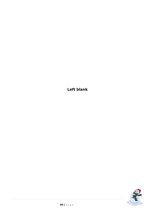**Left blank**

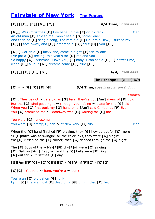## <span id="page-49-0"></span>**[Fairytale of New York](https://youtu.be/qSTrMTTDl44) [The Pogues](https://youtu.be/j9jbdgZidu8)**

#### **[F↓↓] [C↓] [F↓] [G↓] [C↓] 4/4 Time,** *Strum dddd*

**[G***L***]** Was Christmas **[C]** Eve babe, in the **[F]** drunk tank Men An old man **[C]** said to me, 'won't see a-**[G]**nother one' And then he **[C]** sang a song, 'the rare old **[F]** Mountain Dew', I turned my **[C↓↓↓]** face away, and **[F↓]** dreamed a-**[G↓]**bout **[C↓]** you **[C↓]**

**[G↓↓]** Got on a **[C]** lucky one, came in eight-**[F]**een-to-one I've got a **[C]** feeling, this year's for **[G]** me and you So happy **[C]** Christmas, I love you, **[F]** baby, I can see a **[C↓↓↓]** better time, when **[F↓]** all our **[G↓]** dreams come **[C↓]** true **[C↓]**

**[F↓↓↓] [C↓] [F↓] [G↓] 4/4,** *Strum dddd*

#### **Time change** to (waltz) **3/4**

**[C] ~ ~ [G] [C] [F] [G] 3/4 Time,** *speeds up, Strum D dudu*

Women

**[C]** . They've got **~** cars big as **[G]** bars, they've got **[Am]** rivers of **[F]** gold But the **[C]** wind goes right **~** through you, it's no **~** place for the **[G]** old When you **[C]** first took my **[G]** hand on a **[Am]** cold Christmas **[F]** Eve You **[C]** promised me **~** Broadway was **[G]** waiting for **[C]** me

You were **[C]** handsome You were **[C]** pretty, Queen  $\sim$  of New York **[G]** city Men

When the **[C]** band finished **[F]** playing, they **[G]** howled out for **[C]** more Si-**[C]**natra was **~** swingin', all the **~** drunks, they were **[G]** singin' We **[C]** kissed on the **[F]** corner, then **[G]** danced through the **[C]** night

The **[F]** Boys of the **~** NY-**[F]**PD ch-**[F]**oir were **[C]** singing **[C]** 'Galway **[Am]** Bay', **~** . and the **[C]** bells were **[F]** ringing **[G]** out for **~** Christmas **[C]** day

#### **[G][Am][F][C] - [C][C][G][C] - [G][Am][F][C]** - **[C][G]**

**[C][C]** . You're a **~** bum, you're a **~** punk

You're an **[C]** old gal on **[G]** junk Lying **[C]** there almost **[F]** dead on a **[G]** drip in that **[C]** bed